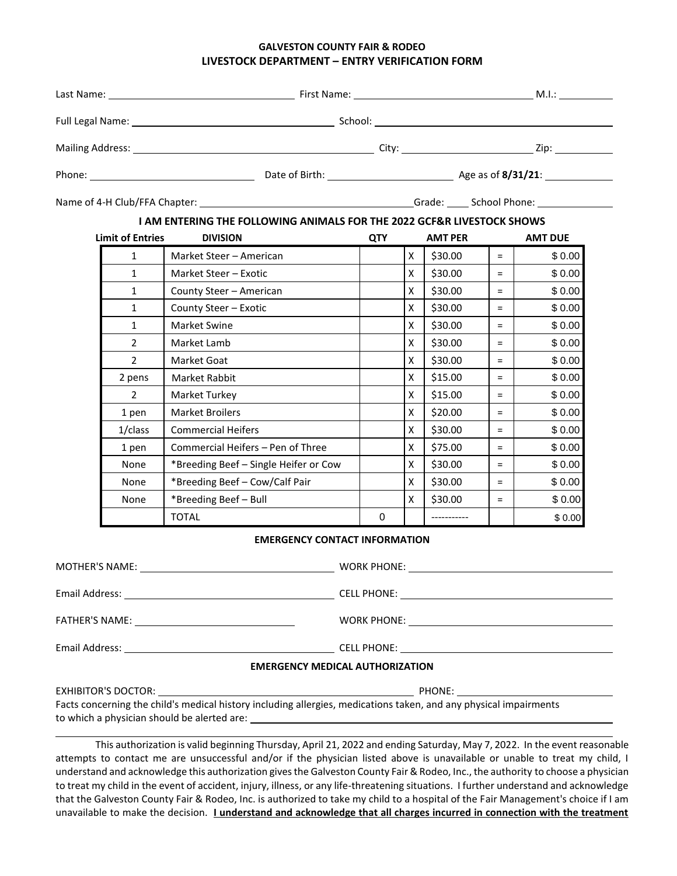# **GALVESTON COUNTY FAIR & RODEO LIVESTOCK DEPARTMENT – ENTRY VERIFICATION FORM**

|  | <b>Limit of Entries</b> | <b>I AM ENTERING THE FOLLOWING ANIMALS FOR THE 2022 GCF&amp;R LIVESTOCK SHOWS</b><br><b>DIVISION</b> | <b>QTY</b> |                | <b>AMT PER</b> |     | <b>AMT DUE</b> |  |  |
|--|-------------------------|------------------------------------------------------------------------------------------------------|------------|----------------|----------------|-----|----------------|--|--|
|  | $\mathbf{1}$            | Market Steer - American                                                                              |            | X              | \$30.00        | $=$ | \$0.00         |  |  |
|  | $\mathbf{1}$            | Market Steer - Exotic                                                                                |            | $\mathsf{X}^-$ | \$30.00        | $=$ | \$0.00         |  |  |
|  | $\mathbf{1}$            | County Steer - American                                                                              |            | X              | \$30.00        | $=$ | \$0.00         |  |  |
|  | $\mathbf{1}$            | County Steer - Exotic                                                                                |            | $\mathsf{x}$   | \$30.00        | $=$ | \$0.00         |  |  |
|  | 1                       | <b>Market Swine</b>                                                                                  |            | X              | \$30.00        | $=$ | \$0.00         |  |  |
|  | $\mathbf{2}^{\prime}$   | Market Lamb                                                                                          |            | X              | \$30.00        | $=$ | \$0.00         |  |  |
|  | $\overline{2}$          | Market Goat                                                                                          |            | $\mathsf{x}$   | \$30.00        | $=$ | \$0.00         |  |  |
|  | 2 pens                  | Market Rabbit                                                                                        |            | X              | \$15.00        | $=$ | \$0.00         |  |  |
|  | 2                       | Market Turkey                                                                                        |            | X              | \$15.00        | $=$ | \$0.00         |  |  |
|  | 1 pen                   | <b>Market Broilers</b>                                                                               |            | $\mathsf{x}$   | \$20.00        | $=$ | \$0.00         |  |  |
|  | 1/class                 | <b>Commercial Heifers</b>                                                                            |            | $\mathsf{x}$   | \$30.00        | $=$ | \$0.00         |  |  |
|  | 1 pen                   | Commercial Heifers - Pen of Three                                                                    |            | X              | \$75.00        | $=$ | \$0.00         |  |  |
|  | None                    | *Breeding Beef - Single Heifer or Cow                                                                |            | X              | \$30.00        | $=$ | \$0.00         |  |  |
|  | None                    | *Breeding Beef - Cow/Calf Pair                                                                       |            | X              | \$30.00        | $=$ | \$0.00         |  |  |
|  | None                    | *Breeding Beef - Bull                                                                                |            | X              | \$30.00        | $=$ | \$0.00         |  |  |
|  |                         | TOTAL                                                                                                | 0          |                | -----------    |     | \$0.00         |  |  |
|  |                         | <b>EMERGENCY CONTACT INFORMATION</b>                                                                 |            |                |                |     |                |  |  |
|  |                         |                                                                                                      |            |                |                |     |                |  |  |
|  |                         |                                                                                                      |            |                |                |     |                |  |  |
|  |                         |                                                                                                      |            |                |                |     |                |  |  |
|  |                         |                                                                                                      |            |                |                |     |                |  |  |
|  |                         | <b>EMERGENCY MEDICAL AUTHORIZATION</b>                                                               |            |                |                |     |                |  |  |

| EXHIBITOR'S DOCTOR:                                                                                               | PHONE: |  |  |  |  |
|-------------------------------------------------------------------------------------------------------------------|--------|--|--|--|--|
| Facts concerning the child's medical history including allergies, medications taken, and any physical impairments |        |  |  |  |  |
| to which a physician should be alerted are:                                                                       |        |  |  |  |  |

This authorization is valid beginning Thursday, April 21, 2022 and ending Saturday, May 7, 2022. In the event reasonable attempts to contact me are unsuccessful and/or if the physician listed above is unavailable or unable to treat my child, I understand and acknowledge this authorization gives the Galveston County Fair & Rodeo, Inc., the authority to choose a physician to treat my child in the event of accident, injury, illness, or any life-threatening situations. I further understand and acknowledge that the Galveston County Fair & Rodeo, Inc. is authorized to take my child to a hospital of the Fair Management's choice if I am unavailable to make the decision. **I understand and acknowledge that all charges incurred in connection with the treatment**